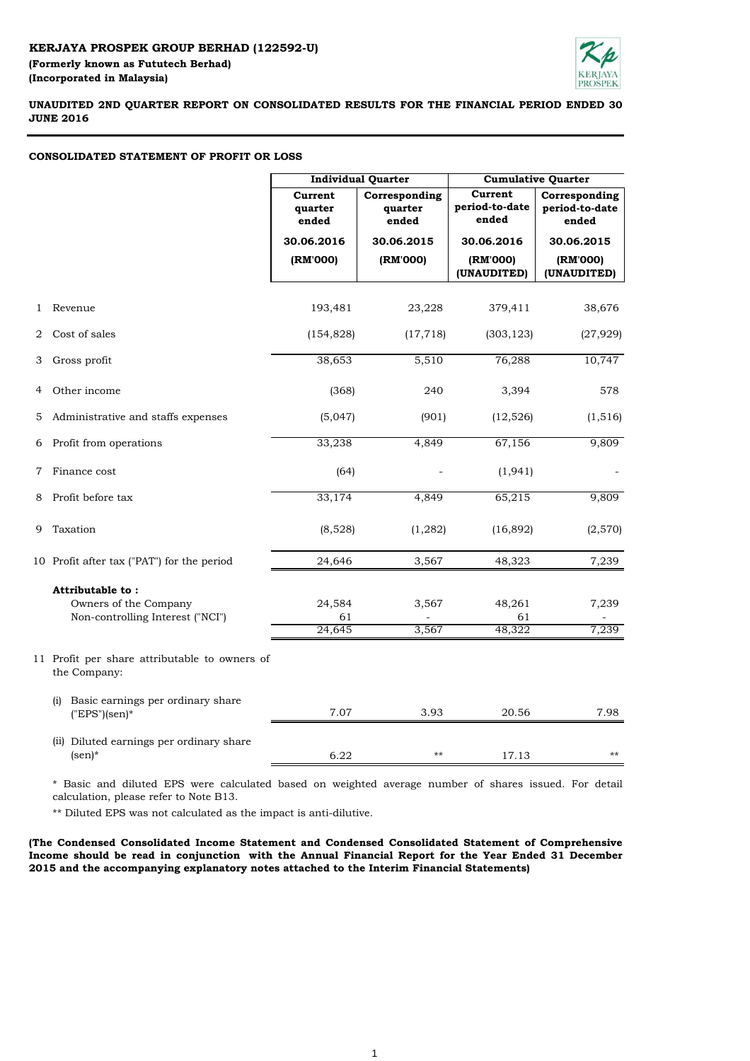

# **UNAUDITED 2ND QUARTER REPORT ON CONSOLIDATED RESULTS FOR THE FINANCIAL PERIOD ENDED 30 JUNE 2016**

## **CONSOLIDATED STATEMENT OF PROFIT OR LOSS**

|                |                                                               |                             |                                   | <b>Cumulative Quarter</b>          |                                          |  |  |
|----------------|---------------------------------------------------------------|-----------------------------|-----------------------------------|------------------------------------|------------------------------------------|--|--|
|                |                                                               | Current<br>quarter<br>ended | Corresponding<br>quarter<br>ended | Current<br>period-to-date<br>ended | Corresponding<br>period-to-date<br>ended |  |  |
|                |                                                               | 30.06.2016                  | 30.06.2015                        | 30.06.2016                         | 30.06.2015                               |  |  |
|                |                                                               | (RM'000)                    | (RM'000)                          | (RM'000)                           | (RM'000)                                 |  |  |
|                |                                                               |                             |                                   | (UNAUDITED)                        | (UNAUDITED)                              |  |  |
| 1              | Revenue                                                       | 193,481                     | 23,228                            | 379,411                            | 38,676                                   |  |  |
| $\overline{2}$ | Cost of sales                                                 | (154, 828)                  | (17, 718)                         | (303, 123)                         | (27, 929)                                |  |  |
| 3              | Gross profit                                                  | 38,653                      | 5,510                             | 76,288                             | 10,747                                   |  |  |
| 4              | Other income                                                  | (368)                       | 240                               | 3,394                              | 578                                      |  |  |
| 5              | Administrative and staffs expenses                            | (5,047)                     | (901)                             | (12, 526)                          | (1, 516)                                 |  |  |
|                | 6 Profit from operations                                      | 33,238                      | 4,849                             | 67,156                             | 9,809                                    |  |  |
| $7\phantom{.}$ | Finance cost                                                  | (64)                        |                                   | (1, 941)                           |                                          |  |  |
| 8              | Profit before tax                                             | 33,174                      | 4,849                             | 65,215                             | 9,809                                    |  |  |
| 9              | Taxation                                                      | (8,528)                     | (1, 282)                          | (16,892)                           | (2,570)                                  |  |  |
|                | 10 Profit after tax ("PAT") for the period                    | 24,646                      | 3,567                             | 48,323                             | 7,239                                    |  |  |
|                | Attributable to:                                              |                             |                                   |                                    |                                          |  |  |
|                | Owners of the Company                                         | 24,584                      | 3,567                             | 48,261                             | 7,239                                    |  |  |
|                | Non-controlling Interest ("NCI")                              | 61<br>24,645                | 3,567                             | 61<br>48,322                       | 7,239                                    |  |  |
|                |                                                               |                             |                                   |                                    |                                          |  |  |
|                | 11 Profit per share attributable to owners of<br>the Company: |                             |                                   |                                    |                                          |  |  |
|                | Basic earnings per ordinary share<br>(i)<br>$("EPS")$ (sen)*  | 7.07                        | 3.93                              | 20.56                              | 7.98                                     |  |  |
|                | (ii) Diluted earnings per ordinary share<br>$(\text{sen})^*$  | 6.22                        | $***$                             | 17.13                              | $***$                                    |  |  |

\* Basic and diluted EPS were calculated based on weighted average number of shares issued. For detail calculation, please refer to Note B13.

\*\* Diluted EPS was not calculated as the impact is anti-dilutive.

**(The Condensed Consolidated Income Statement and Condensed Consolidated Statement of Comprehensive Income should be read in conjunction with the Annual Financial Report for the Year Ended 31 December 2015 and the accompanying explanatory notes attached to the Interim Financial Statements)**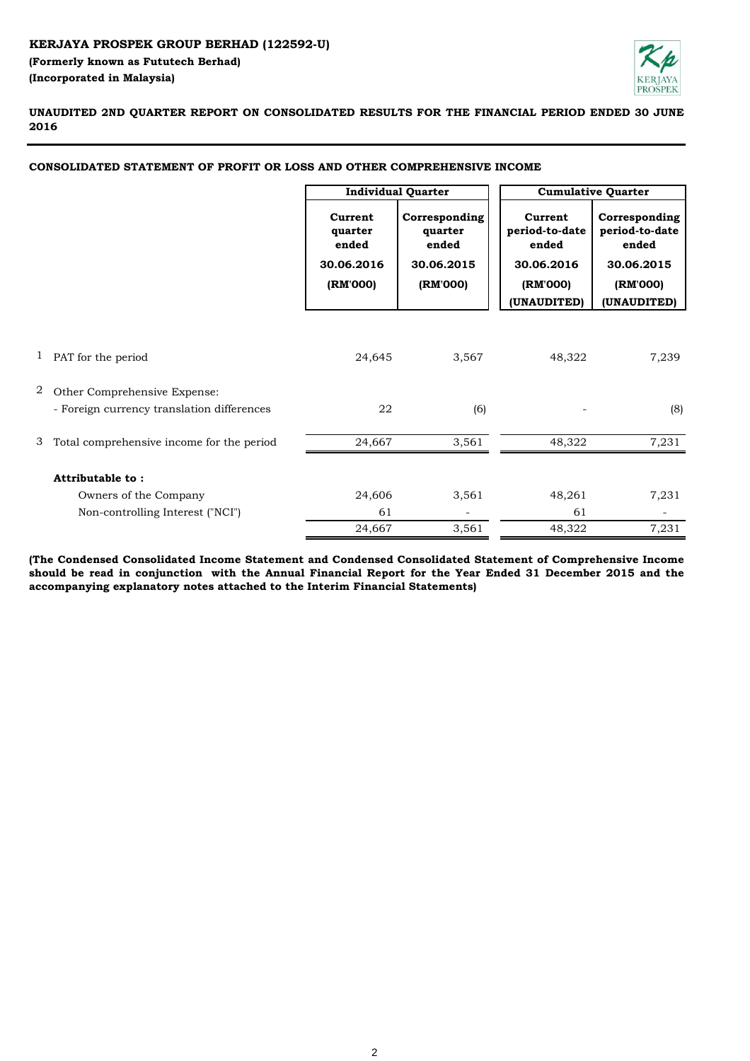

**UNAUDITED 2ND QUARTER REPORT ON CONSOLIDATED RESULTS FOR THE FINANCIAL PERIOD ENDED 30 JUNE 2016**

# **CONSOLIDATED STATEMENT OF PROFIT OR LOSS AND OTHER COMPREHENSIVE INCOME**

|   |                                            | <b>Individual Quarter</b>                             |                                                             | <b>Cumulative Quarter</b>                                                   |                                                                                   |
|---|--------------------------------------------|-------------------------------------------------------|-------------------------------------------------------------|-----------------------------------------------------------------------------|-----------------------------------------------------------------------------------|
|   |                                            | Current<br>quarter<br>ended<br>30.06.2016<br>(RM'000) | Corresponding<br>quarter<br>ended<br>30.06.2015<br>(RM'000) | Current<br>period-to-date<br>ended<br>30.06.2016<br>(RM'000)<br>(UNAUDITED) | Corresponding<br>period-to-date<br>ended<br>30.06.2015<br>(RM'000)<br>(UNAUDITED) |
|   |                                            |                                                       |                                                             |                                                                             |                                                                                   |
|   | 1 PAT for the period                       | 24,645                                                | 3,567                                                       | 48,322                                                                      | 7,239                                                                             |
| 2 | Other Comprehensive Expense:               |                                                       |                                                             |                                                                             |                                                                                   |
|   | - Foreign currency translation differences | 22                                                    | (6)                                                         |                                                                             | (8)                                                                               |
| 3 | Total comprehensive income for the period  | 24,667                                                | 3,561                                                       | 48,322                                                                      | 7,231                                                                             |
|   | Attributable to:                           |                                                       |                                                             |                                                                             |                                                                                   |
|   | Owners of the Company                      | 24,606                                                | 3,561                                                       | 48,261                                                                      | 7,231                                                                             |
|   | Non-controlling Interest ("NCI")           | 61                                                    |                                                             | 61                                                                          |                                                                                   |
|   |                                            | 24,667                                                | 3,561                                                       | 48,322                                                                      | 7,231                                                                             |

**(The Condensed Consolidated Income Statement and Condensed Consolidated Statement of Comprehensive Income** should be read in conjunction with the Annual Financial Report for the Year Ended 31 December 2015 and the **accompanying explanatory notes attached to the Interim Financial Statements)**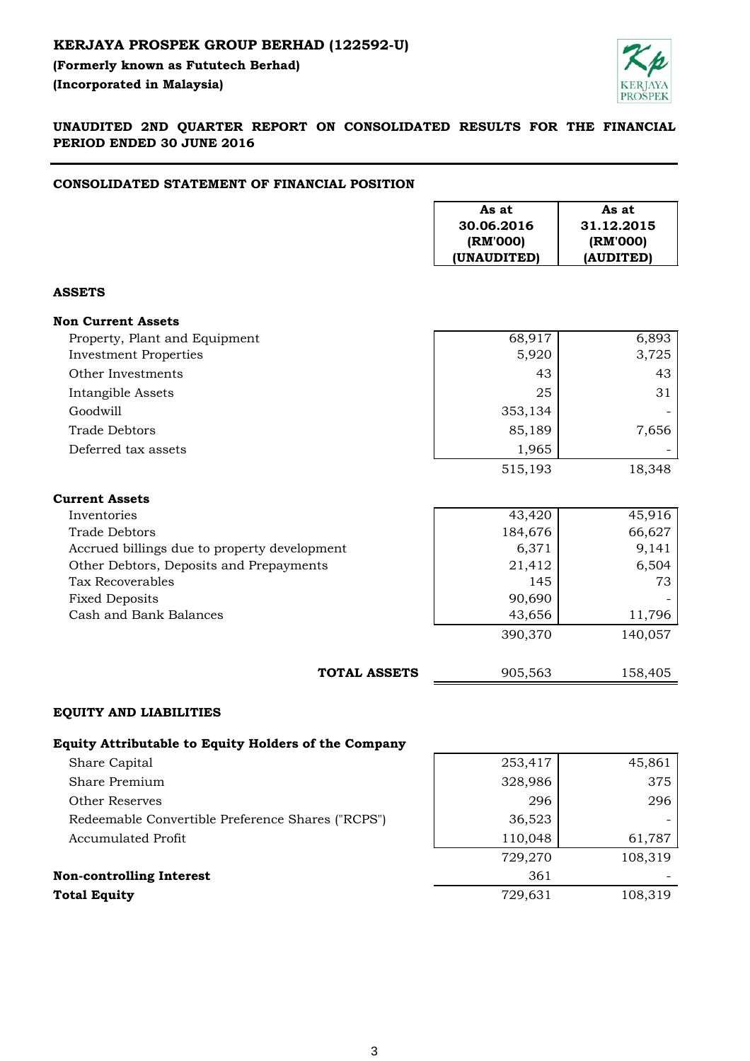# **KERJAYA PROSPEK GROUP BERHAD (122592-U)**

**(Formerly known as Fututech Berhad) (Incorporated in Malaysia)** 



**UNAUDITED 2ND QUARTER REPORT ON CONSOLIDATED RESULTS FOR THE FINANCIAL PERIOD ENDED 30 JUNE 2016**

#### **CONSOLIDATED STATEMENT OF FINANCIAL POSITION**

|                                                             | As at<br>30.06.2016<br>(RM'000)<br>(UNAUDITED) | As at<br>31.12.2015<br>(RM'000)<br>(AUDITED) |
|-------------------------------------------------------------|------------------------------------------------|----------------------------------------------|
| <b>ASSETS</b>                                               |                                                |                                              |
| <b>Non Current Assets</b>                                   |                                                |                                              |
| Property, Plant and Equipment                               | 68,917                                         | 6,893                                        |
| <b>Investment Properties</b>                                | 5,920                                          | 3,725                                        |
| Other Investments                                           | 43                                             | 43                                           |
| Intangible Assets                                           | 25                                             | 31                                           |
| Goodwill                                                    | 353,134                                        |                                              |
| <b>Trade Debtors</b>                                        | 85,189                                         | 7,656                                        |
| Deferred tax assets                                         | 1,965                                          |                                              |
|                                                             | 515,193                                        | 18,348                                       |
| <b>Current Assets</b>                                       |                                                |                                              |
| Inventories                                                 | 43,420                                         | 45,916                                       |
| <b>Trade Debtors</b>                                        | 184,676                                        | 66,627                                       |
| Accrued billings due to property development                | 6,371                                          | 9,141                                        |
| Other Debtors, Deposits and Prepayments                     | 21,412                                         | 6,504                                        |
| <b>Tax Recoverables</b>                                     | 145                                            | 73                                           |
| <b>Fixed Deposits</b>                                       | 90,690                                         |                                              |
| Cash and Bank Balances                                      | 43,656                                         | 11,796                                       |
|                                                             | 390,370                                        | 140,057                                      |
| <b>TOTAL ASSETS</b>                                         | 905,563                                        | 158,405                                      |
| <b>EQUITY AND LIABILITIES</b>                               |                                                |                                              |
| <b>Equity Attributable to Equity Holders of the Company</b> |                                                |                                              |
| Share Capital                                               | 253,417                                        | 45,861                                       |
| Share Premium                                               | 328,986                                        | 375                                          |
| <b>Other Reserves</b>                                       | 296                                            | 296                                          |
| Redeemable Convertible Preference Shares ("RCPS")           | 36,523                                         |                                              |
| <b>Accumulated Profit</b>                                   | 110,048                                        | 61,787                                       |
|                                                             | 729,270                                        | 108,319                                      |

| <b>Non-controlling Interest</b> | 36.     | -       |
|---------------------------------|---------|---------|
| Total Equity                    | 729.631 | 108,319 |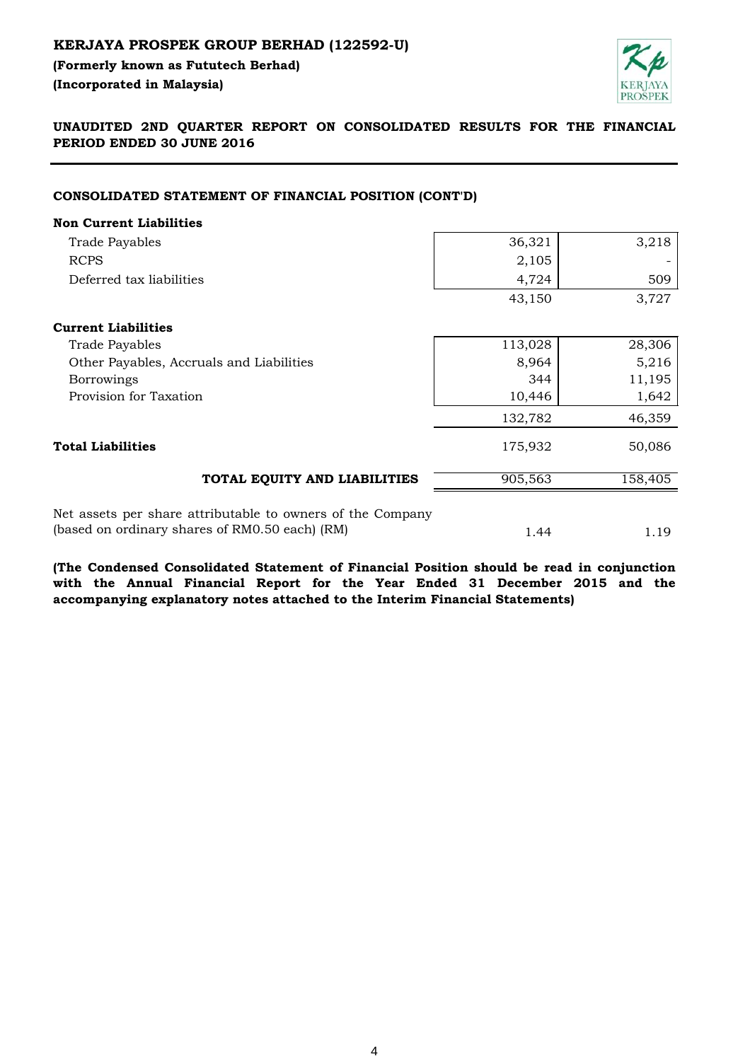# **KERJAYA PROSPEK GROUP BERHAD (122592-U)**

**(Formerly known as Fututech Berhad) (Incorporated in Malaysia)** 



# **UNAUDITED 2ND QUARTER REPORT ON CONSOLIDATED RESULTS FOR THE FINANCIAL PERIOD ENDED 30 JUNE 2016**

### **CONSOLIDATED STATEMENT OF FINANCIAL POSITION (CONT'D)**

| <b>Non Current Liabilities</b>                             |         |         |
|------------------------------------------------------------|---------|---------|
| <b>Trade Payables</b>                                      | 36,321  | 3,218   |
| <b>RCPS</b>                                                | 2,105   |         |
| Deferred tax liabilities                                   | 4,724   | 509     |
|                                                            | 43,150  | 3,727   |
| <b>Current Liabilities</b>                                 |         |         |
| <b>Trade Payables</b>                                      | 113,028 | 28,306  |
| Other Payables, Accruals and Liabilities                   | 8,964   | 5,216   |
| <b>Borrowings</b>                                          | 344     | 11,195  |
| Provision for Taxation                                     | 10,446  | 1,642   |
|                                                            | 132,782 | 46,359  |
| <b>Total Liabilities</b>                                   | 175,932 | 50,086  |
| TOTAL EQUITY AND LIABILITIES                               | 905,563 | 158,405 |
| Net assets per share attributable to owners of the Company |         |         |
| (based on ordinary shares of RM0.50 each) (RM)             | 1.44    | 1.19    |

**(The Condensed Consolidated Statement of Financial Position should be read in conjunction with the Annual Financial Report for the Year Ended 31 December 2015 and the accompanying explanatory notes attached to the Interim Financial Statements)**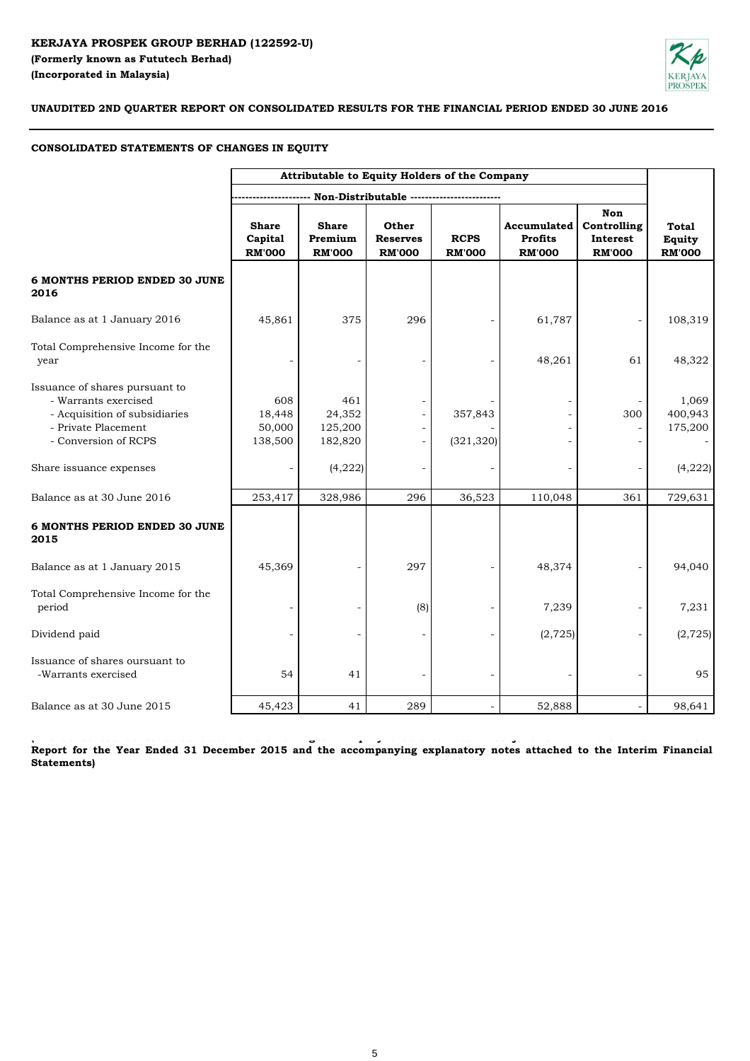# **KERJAYA PROSPEK GROUP BERHAD (122592-U) (Formerly known as Fututech Berhad) (Incorporated in Malaysia)**



**UNAUDITED 2ND QUARTER REPORT ON CONSOLIDATED RESULTS FOR THE FINANCIAL PERIOD ENDED 30 JUNE 2016**

# **CONSOLIDATED STATEMENTS OF CHANGES IN EQUITY**

|                                                                                                                                        | Attributable to Equity Holders of the Company |                                          |                                           |                              |                                                       |                                                        |                                         |
|----------------------------------------------------------------------------------------------------------------------------------------|-----------------------------------------------|------------------------------------------|-------------------------------------------|------------------------------|-------------------------------------------------------|--------------------------------------------------------|-----------------------------------------|
|                                                                                                                                        |                                               |                                          | Non-Distributable -----------------       |                              |                                                       |                                                        |                                         |
|                                                                                                                                        | <b>Share</b><br>Capital<br><b>RM'000</b>      | <b>Share</b><br>Premium<br><b>RM'000</b> | Other<br><b>Reserves</b><br><b>RM'000</b> | <b>RCPS</b><br><b>RM'000</b> | <b>Accumulated</b><br><b>Profits</b><br><b>RM'000</b> | <b>Non</b><br>Controlling<br>Interest<br><b>RM'000</b> | <b>Total</b><br>Equity<br><b>RM'000</b> |
| <b>6 MONTHS PERIOD ENDED 30 JUNE</b><br>2016                                                                                           |                                               |                                          |                                           |                              |                                                       |                                                        |                                         |
| Balance as at 1 January 2016                                                                                                           | 45,861                                        | 375                                      | 296                                       |                              | 61,787                                                |                                                        | 108,319                                 |
| Total Comprehensive Income for the<br>year                                                                                             |                                               |                                          |                                           |                              | 48,261                                                | 61                                                     | 48,322                                  |
| Issuance of shares pursuant to<br>- Warrants exercised<br>- Acquisition of subsidiaries<br>- Private Placement<br>- Conversion of RCPS | 608<br>18,448<br>50,000<br>138,500            | 461<br>24,352<br>125,200<br>182,820      |                                           | 357,843<br>(321, 320)        |                                                       | 300                                                    | 1,069<br>400,943<br>175,200             |
| Share issuance expenses                                                                                                                |                                               | (4,222)                                  |                                           |                              |                                                       |                                                        | (4,222)                                 |
| Balance as at 30 June 2016                                                                                                             | 253,417                                       | 328,986                                  | 296                                       | 36,523                       | 110,048                                               | 361                                                    | 729,631                                 |
| 6 MONTHS PERIOD ENDED 30 JUNE<br>2015                                                                                                  |                                               |                                          |                                           |                              |                                                       |                                                        |                                         |
| Balance as at 1 January 2015                                                                                                           | 45,369                                        |                                          | 297                                       |                              | 48,374                                                |                                                        | 94,040                                  |
| Total Comprehensive Income for the<br>period                                                                                           |                                               |                                          | (8)                                       |                              | 7,239                                                 |                                                        | 7,231                                   |
| Dividend paid                                                                                                                          | $\overline{\phantom{a}}$                      |                                          |                                           | $\overline{\phantom{a}}$     | (2, 725)                                              |                                                        | (2, 725)                                |
| Issuance of shares oursuant to<br>-Warrants exercised                                                                                  | 54                                            | 41                                       |                                           |                              |                                                       |                                                        | 95                                      |
| Balance as at 30 June 2015                                                                                                             | 45,423                                        | 41                                       | 289                                       |                              | 52,888                                                |                                                        | 98,641                                  |

tica consecuente a consecuente a consecuente de comuni<mark>c</mark>ia esta consecuente de confundado de consecuente a consecu Report for the Year Ended 31 December 2015 and the accompanying explanatory notes attached to the Interim Financial **Statements)**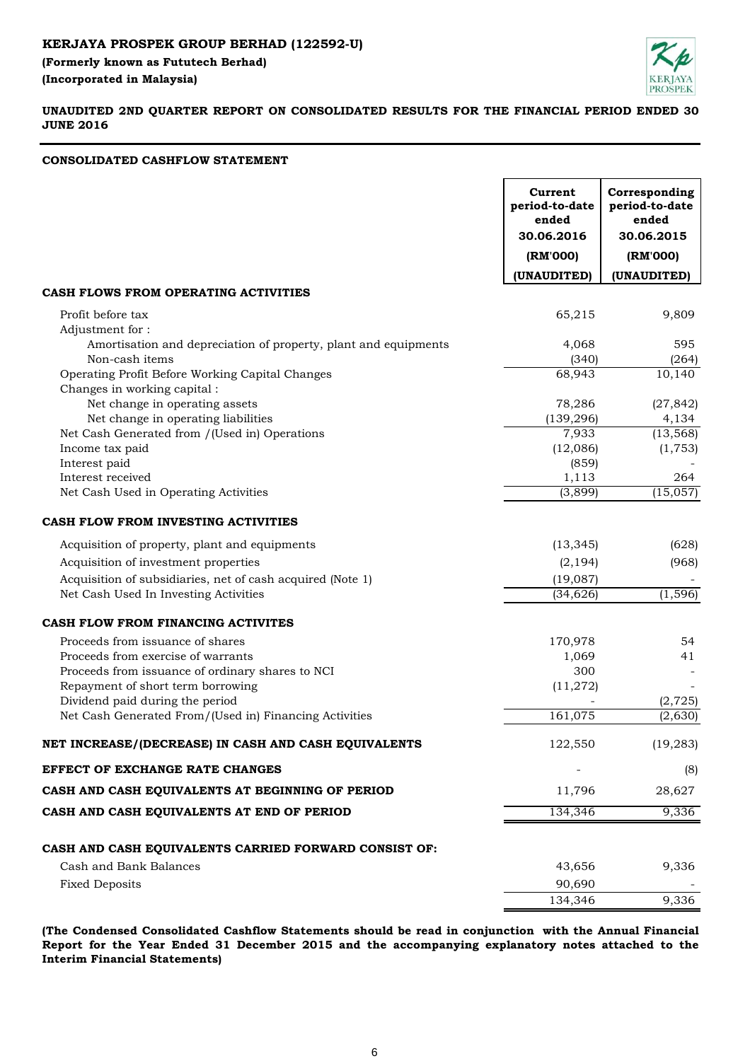**(Formerly known as Fututech Berhad) (Incorporated in Malaysia)** 



# **UNAUDITED 2ND QUARTER REPORT ON CONSOLIDATED RESULTS FOR THE FINANCIAL PERIOD ENDED 30 JUNE 2016**

# **CONSOLIDATED CASHFLOW STATEMENT**

|                                                                                                                                                                                                    | Current<br>period-to-date<br>ended<br>30.06.2016 | Corresponding<br>period-to-date<br>ended<br>30.06.2015 |
|----------------------------------------------------------------------------------------------------------------------------------------------------------------------------------------------------|--------------------------------------------------|--------------------------------------------------------|
|                                                                                                                                                                                                    | (RM'000)                                         | (RM'000)                                               |
|                                                                                                                                                                                                    | (UNAUDITED)                                      | (UNAUDITED)                                            |
| CASH FLOWS FROM OPERATING ACTIVITIES                                                                                                                                                               |                                                  |                                                        |
| Profit before tax<br>Adjustment for:                                                                                                                                                               | 65,215                                           | 9,809                                                  |
| Amortisation and depreciation of property, plant and equipments<br>Non-cash items                                                                                                                  | 4,068<br>(340)                                   | 595<br>(264)                                           |
| Operating Profit Before Working Capital Changes<br>Changes in working capital :                                                                                                                    | 68,943                                           | 10,140                                                 |
| Net change in operating assets<br>Net change in operating liabilities                                                                                                                              | 78,286<br>(139, 296)                             | (27, 842)<br>4,134                                     |
| Net Cash Generated from /(Used in) Operations<br>Income tax paid                                                                                                                                   | 7,933<br>(12,086)                                | (13, 568)<br>(1, 753)                                  |
| Interest paid<br>Interest received                                                                                                                                                                 | (859)<br>1,113                                   | 264                                                    |
| Net Cash Used in Operating Activities                                                                                                                                                              | (3,899)                                          | (15,057)                                               |
| CASH FLOW FROM INVESTING ACTIVITIES                                                                                                                                                                |                                                  |                                                        |
| Acquisition of property, plant and equipments                                                                                                                                                      | (13, 345)                                        | (628)                                                  |
| Acquisition of investment properties                                                                                                                                                               | (2, 194)                                         | (968)                                                  |
| Acquisition of subsidiaries, net of cash acquired (Note 1)<br>Net Cash Used In Investing Activities                                                                                                | (19,087)<br>(34, 626)                            | (1, 596)                                               |
| CASH FLOW FROM FINANCING ACTIVITES                                                                                                                                                                 |                                                  |                                                        |
| Proceeds from issuance of shares<br>Proceeds from exercise of warrants<br>Proceeds from issuance of ordinary shares to NCI<br>Repayment of short term borrowing<br>Dividend paid during the period | 170,978<br>1,069<br>300<br>(11, 272)             | 54<br>41<br>(2, 725)                                   |
| Net Cash Generated From/(Used in) Financing Activities                                                                                                                                             | 161,075                                          | (2,630)                                                |
| NET INCREASE/(DECREASE) IN CASH AND CASH EQUIVALENTS                                                                                                                                               | 122,550                                          | (19, 283)                                              |
| EFFECT OF EXCHANGE RATE CHANGES                                                                                                                                                                    |                                                  | (8)                                                    |
| CASH AND CASH EQUIVALENTS AT BEGINNING OF PERIOD                                                                                                                                                   | 11,796                                           | 28,627                                                 |
| CASH AND CASH EQUIVALENTS AT END OF PERIOD                                                                                                                                                         | 134,346                                          | 9,336                                                  |
| CASH AND CASH EQUIVALENTS CARRIED FORWARD CONSIST OF:                                                                                                                                              |                                                  |                                                        |
| Cash and Bank Balances                                                                                                                                                                             | 43,656                                           | 9,336                                                  |
| <b>Fixed Deposits</b>                                                                                                                                                                              | 90,690<br>134,346                                | 9,336                                                  |
|                                                                                                                                                                                                    |                                                  |                                                        |

**(The Condensed Consolidated Cashflow Statements should be read in conjunction with the Annual Financial Report for the Year Ended 31 December 2015 and the accompanying explanatory notes attached to the Interim Financial Statements)**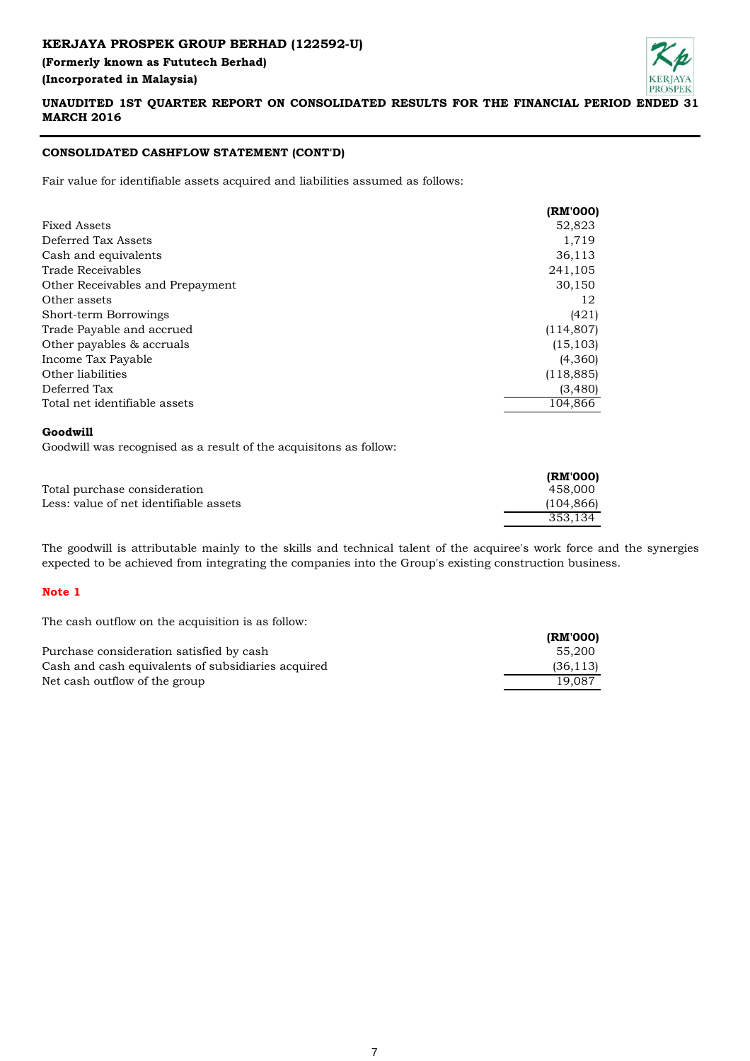# **KERJAYA PROSPEK GROUP BERHAD (122592-U) (Formerly known as Fututech Berhad) (Incorporated in Malaysia)**



# **UNAUDITED 1ST QUARTER REPORT ON CONSOLIDATED RESULTS FOR THE FINANCIAL PERIOD ENDED 31 MARCH 2016**

# **CONSOLIDATED CASHFLOW STATEMENT (CONT'D)**

Fair value for identifiable assets acquired and liabilities assumed as follows:

|                                  | (RM'000)   |
|----------------------------------|------------|
| Fixed Assets                     | 52,823     |
| Deferred Tax Assets              | 1,719      |
| Cash and equivalents             | 36,113     |
| Trade Receivables                | 241,105    |
| Other Receivables and Prepayment | 30,150     |
| Other assets                     | 12         |
| Short-term Borrowings            | (421)      |
| Trade Payable and accrued        | (114, 807) |
| Other payables & accruals        | (15, 103)  |
| Income Tax Payable               | (4,360)    |
| Other liabilities                | (118, 885) |
| Deferred Tax                     | (3,480)    |
| Total net identifiable assets    | 104.866    |

#### **Goodwill**

Goodwill was recognised as a result of the acquisitons as follow:

|                                        | (RM'000)  |
|----------------------------------------|-----------|
| Total purchase consideration           | 458.000   |
| Less: value of net identifiable assets | (104.866) |
|                                        | 353.134   |

The goodwill is attributable mainly to the skills and technical talent of the acquiree's work force and the synergies expected to be achieved from integrating the companies into the Group's existing construction business.

## **Note 1**

The cash outflow on the acquisition is as follow:

|                                                    | (RM'000)  |
|----------------------------------------------------|-----------|
| Purchase consideration satisfied by cash           | 55.200    |
| Cash and cash equivalents of subsidiaries acquired | (36, 113) |
| Net cash outflow of the group                      | 19.087    |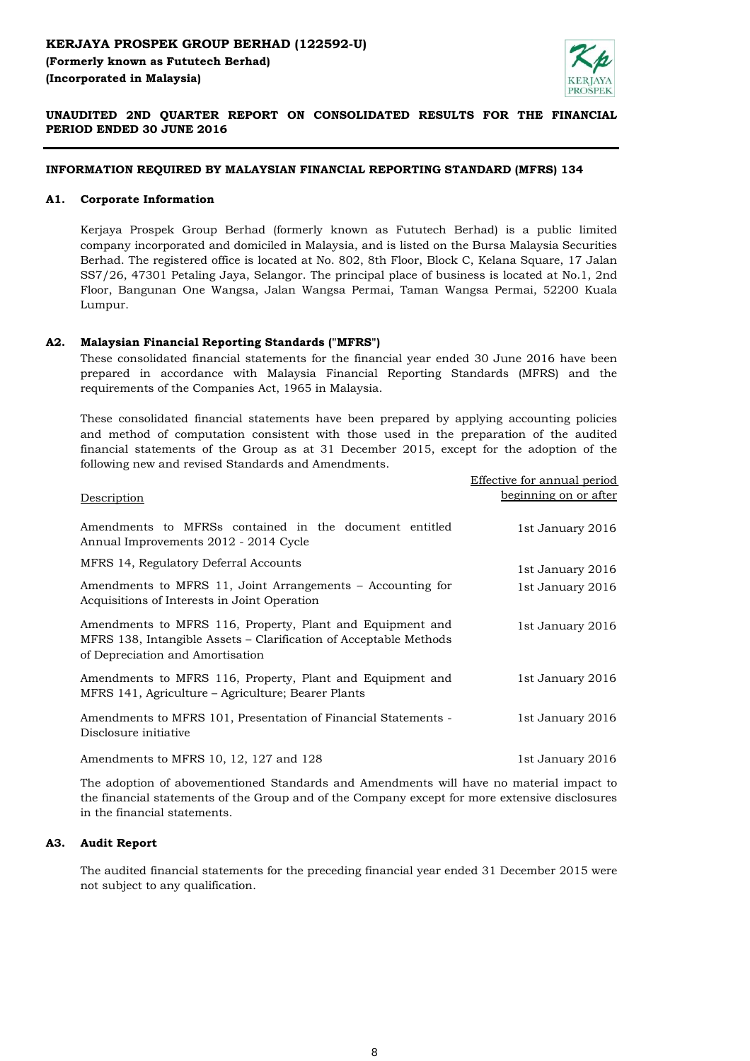

# **UNAUDITED 2ND QUARTER REPORT ON CONSOLIDATED RESULTS FOR THE FINANCIAL PERIOD ENDED 30 JUNE 2016**

## **INFORMATION REQUIRED BY MALAYSIAN FINANCIAL REPORTING STANDARD (MFRS) 134**

### **A1. Corporate Information**

Kerjaya Prospek Group Berhad (formerly known as Fututech Berhad) is a public limited company incorporated and domiciled in Malaysia, and is listed on the Bursa Malaysia Securities Berhad. The registered office is located at No. 802, 8th Floor, Block C, Kelana Square, 17 Jalan SS7/26, 47301 Petaling Jaya, Selangor. The principal place of business is located at No.1, 2nd Floor, Bangunan One Wangsa, Jalan Wangsa Permai, Taman Wangsa Permai, 52200 Kuala Lumpur.

#### **A2. Malaysian Financial Reporting Standards ("MFRS")**

These consolidated financial statements for the financial year ended 30 June 2016 have been prepared in accordance with Malaysia Financial Reporting Standards (MFRS) and the requirements of the Companies Act, 1965 in Malaysia.

These consolidated financial statements have been prepared by applying accounting policies and method of computation consistent with those used in the preparation of the audited financial statements of the Group as at 31 December 2015, except for the adoption of the following new and revised Standards and Amendments.

|                                                                                                                                                                    | Effective for annual period |
|--------------------------------------------------------------------------------------------------------------------------------------------------------------------|-----------------------------|
| Description                                                                                                                                                        | beginning on or after       |
| Amendments to MFRSs contained in the document entitled<br>Annual Improvements 2012 - 2014 Cycle                                                                    | 1st January 2016            |
| MFRS 14, Regulatory Deferral Accounts                                                                                                                              | 1st January 2016            |
| Amendments to MFRS 11, Joint Arrangements – Accounting for<br>Acquisitions of Interests in Joint Operation                                                         | 1st January 2016            |
| Amendments to MFRS 116, Property, Plant and Equipment and<br>MFRS 138, Intangible Assets – Clarification of Acceptable Methods<br>of Depreciation and Amortisation | 1st January 2016            |
| Amendments to MFRS 116, Property, Plant and Equipment and<br>MFRS 141, Agriculture – Agriculture; Bearer Plants                                                    | 1st January 2016            |
| Amendments to MFRS 101, Presentation of Financial Statements -<br>Disclosure initiative                                                                            | 1st January 2016            |
| Amendments to MFRS 10, 12, 127 and 128                                                                                                                             | 1st January 2016            |

The adoption of abovementioned Standards and Amendments will have no material impact to the financial statements of the Group and of the Company except for more extensive disclosures in the financial statements.

#### **A3. Audit Report**

The audited financial statements for the preceding financial year ended 31 December 2015 were not subject to any qualification.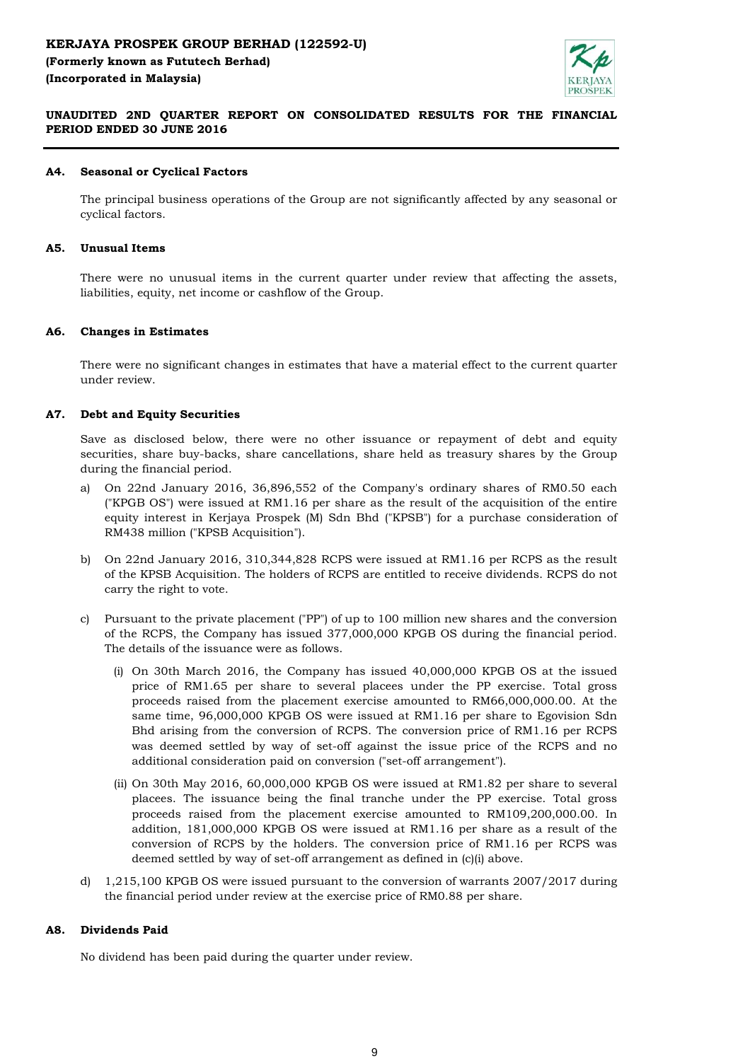# **KERJAYA PROSPEK GROUP BERHAD (122592-U) (Formerly known as Fututech Berhad) (Incorporated in Malaysia)**



# **UNAUDITED 2ND QUARTER REPORT ON CONSOLIDATED RESULTS FOR THE FINANCIAL PERIOD ENDED 30 JUNE 2016**

#### **A4. Seasonal or Cyclical Factors**

The principal business operations of the Group are not significantly affected by any seasonal or cyclical factors.

#### **A5. Unusual Items**

There were no unusual items in the current quarter under review that affecting the assets, liabilities, equity, net income or cashflow of the Group.

#### **A6. Changes in Estimates**

There were no significant changes in estimates that have a material effect to the current quarter under review.

#### **A7. Debt and Equity Securities**

Save as disclosed below, there were no other issuance or repayment of debt and equity securities, share buy-backs, share cancellations, share held as treasury shares by the Group during the financial period.

- a) On 22nd January 2016, 36,896,552 of the Company's ordinary shares of RM0.50 each ("KPGB OS") were issued at RM1.16 per share as the result of the acquisition of the entire equity interest in Kerjaya Prospek (M) Sdn Bhd ("KPSB") for a purchase consideration of RM438 million ("KPSB Acquisition").
- b) On 22nd January 2016, 310,344,828 RCPS were issued at RM1.16 per RCPS as the result of the KPSB Acquisition. The holders of RCPS are entitled to receive dividends. RCPS do not carry the right to vote.
- c) Pursuant to the private placement ("PP") of up to 100 million new shares and the conversion of the RCPS, the Company has issued 377,000,000 KPGB OS during the financial period. The details of the issuance were as follows.
	- (i) On 30th March 2016, the Company has issued 40,000,000 KPGB OS at the issued price of RM1.65 per share to several placees under the PP exercise. Total gross proceeds raised from the placement exercise amounted to RM66,000,000.00. At the same time, 96,000,000 KPGB OS were issued at RM1.16 per share to Egovision Sdn Bhd arising from the conversion of RCPS. The conversion price of RM1.16 per RCPS was deemed settled by way of set-off against the issue price of the RCPS and no additional consideration paid on conversion ("set-off arrangement").
	- (ii) On 30th May 2016, 60,000,000 KPGB OS were issued at RM1.82 per share to several placees. The issuance being the final tranche under the PP exercise. Total gross proceeds raised from the placement exercise amounted to RM109,200,000.00. In addition, 181,000,000 KPGB OS were issued at RM1.16 per share as a result of the conversion of RCPS by the holders. The conversion price of RM1.16 per RCPS was deemed settled by way of set-off arrangement as defined in (c)(i) above.
- d) 1,215,100 KPGB OS were issued pursuant to the conversion of warrants 2007/2017 during the financial period under review at the exercise price of RM0.88 per share.

#### **A8. Dividends Paid**

No dividend has been paid during the quarter under review.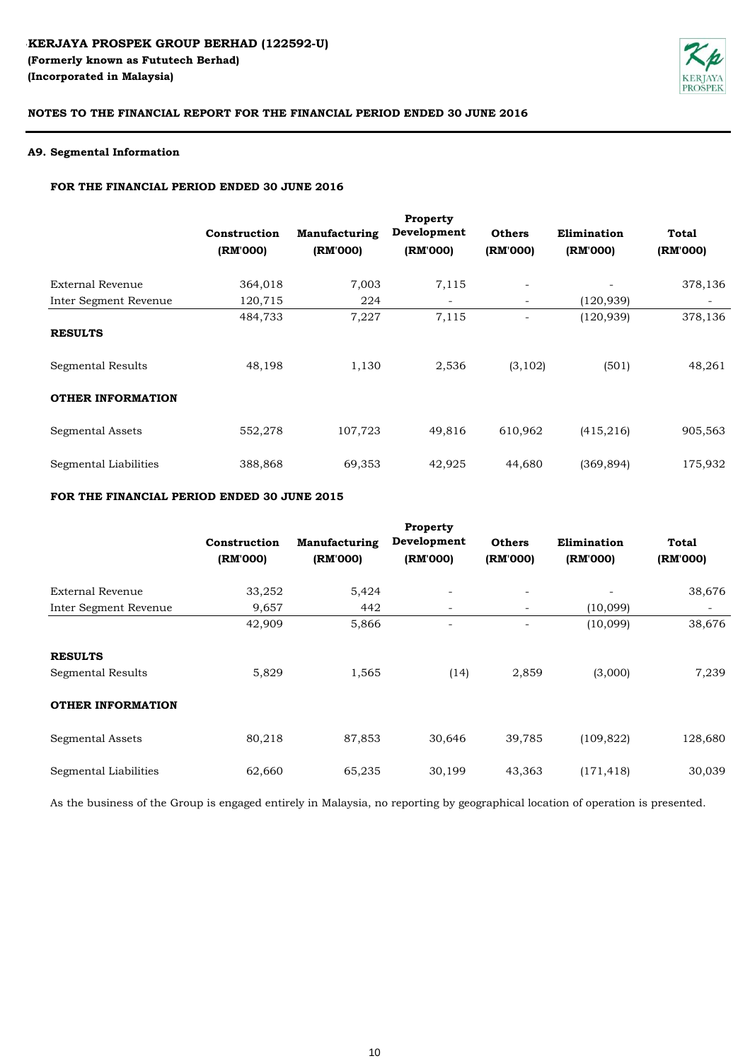

## **A9. Segmental Information**

### **FOR THE FINANCIAL PERIOD ENDED 30 JUNE 2016**

|                          |                          |                                  | Property<br>Development  | <b>Others</b>            | Elimination |                          |
|--------------------------|--------------------------|----------------------------------|--------------------------|--------------------------|-------------|--------------------------|
|                          | Construction<br>(RM'000) | <b>Manufacturing</b><br>(RM'000) | (RM'000)                 | (RM'000)                 | (RM'000)    | <b>Total</b><br>(RM'000) |
| <b>External Revenue</b>  | 364,018                  | 7,003                            | 7,115                    |                          |             | 378,136                  |
| Inter Segment Revenue    | 120,715                  | 224                              | $\overline{\phantom{a}}$ | $\overline{\phantom{a}}$ | (120, 939)  |                          |
| <b>RESULTS</b>           | 484,733                  | 7,227                            | 7,115                    |                          | (120, 939)  | 378,136                  |
| <b>Segmental Results</b> | 48,198                   | 1,130                            | 2,536                    | (3, 102)                 | (501)       | 48,261                   |
| <b>OTHER INFORMATION</b> |                          |                                  |                          |                          |             |                          |
| <b>Segmental Assets</b>  | 552,278                  | 107,723                          | 49,816                   | 610,962                  | (415, 216)  | 905,563                  |
| Segmental Liabilities    | 388,868                  | 69,353                           | 42,925                   | 44,680                   | (369, 894)  | 175,932                  |

# **FOR THE FINANCIAL PERIOD ENDED 30 JUNE 2015**

|                          | Construction<br>(RM'000) | Manufacturing<br>(RM'000) | Property<br>Development<br>(RM'000) | <b>Others</b><br>(RM'000) | Elimination<br>(RM'000) | Total<br>(RM'000) |
|--------------------------|--------------------------|---------------------------|-------------------------------------|---------------------------|-------------------------|-------------------|
| <b>External Revenue</b>  | 33,252                   | 5,424                     | $\overline{\phantom{a}}$            | $\overline{\phantom{a}}$  |                         | 38,676            |
| Inter Segment Revenue    | 9,657                    | 442                       | $\overline{\phantom{a}}$            | $\qquad \qquad -$         | (10,099)                |                   |
|                          | 42,909                   | 5,866                     |                                     | $\overline{\phantom{a}}$  | (10,099)                | 38,676            |
| <b>RESULTS</b>           |                          |                           |                                     |                           |                         |                   |
| <b>Segmental Results</b> | 5,829                    | 1,565                     | (14)                                | 2,859                     | (3,000)                 | 7,239             |
| <b>OTHER INFORMATION</b> |                          |                           |                                     |                           |                         |                   |
| <b>Segmental Assets</b>  | 80,218                   | 87,853                    | 30,646                              | 39,785                    | (109, 822)              | 128,680           |
| Segmental Liabilities    | 62,660                   | 65,235                    | 30,199                              | 43,363                    | (171, 418)              | 30,039            |

As the business of the Group is engaged entirely in Malaysia, no reporting by geographical location of operation is presented.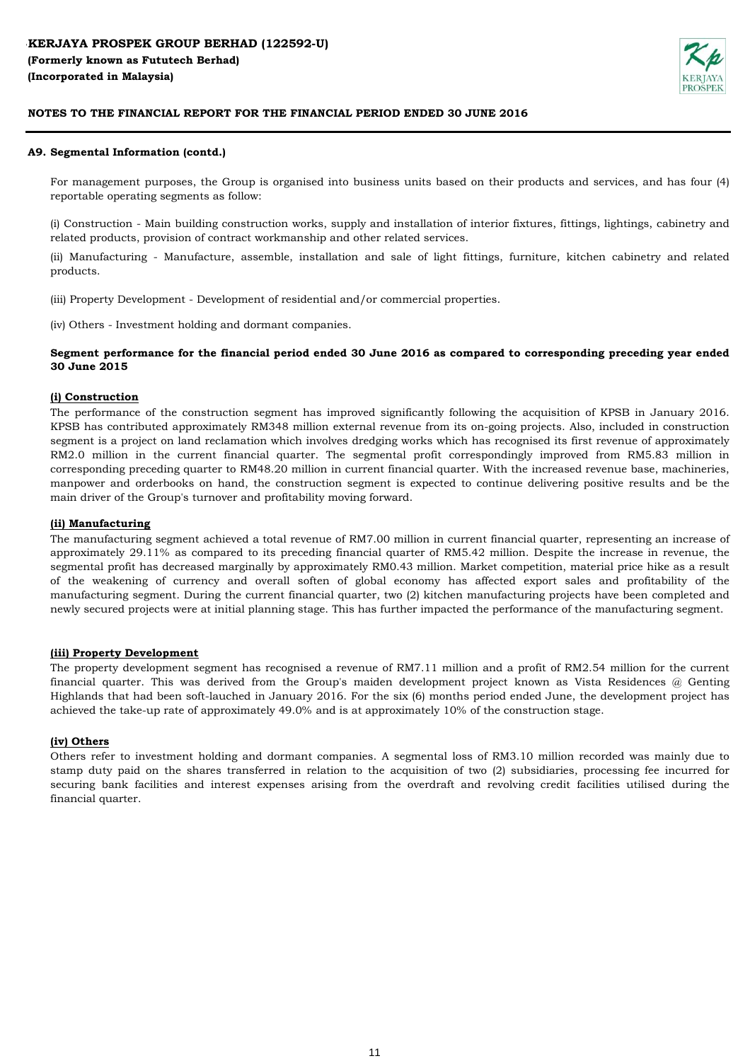

### **A9. Segmental Information (contd.)**

For management purposes, the Group is organised into business units based on their products and services, and has four (4) reportable operating segments as follow:

(i) Construction - Main building construction works, supply and installation of interior fixtures, fittings, lightings, cabinetry and related products, provision of contract workmanship and other related services.

(ii) Manufacturing - Manufacture, assemble, installation and sale of light fittings, furniture, kitchen cabinetry and related products.

(iii) Property Development - Development of residential and/or commercial properties.

(iv) Others - Investment holding and dormant companies.

## Segment performance for the financial period ended 30 June 2016 as compared to corresponding preceding year ended **30 June 2015**

### **(i) Construction**

The performance of the construction segment has improved significantly following the acquisition of KPSB in January 2016. KPSB has contributed approximately RM348 million external revenue from its on-going projects. Also, included in construction segment is a project on land reclamation which involves dredging works which has recognised its first revenue of approximately RM2.0 million in the current financial quarter. The segmental profit correspondingly improved from RM5.83 million in corresponding preceding quarter to RM48.20 million in current financial quarter. With the increased revenue base, machineries, manpower and orderbooks on hand, the construction segment is expected to continue delivering positive results and be the main driver of the Group's turnover and profitability moving forward.

### **(ii) Manufacturing**

The manufacturing segment achieved a total revenue of RM7.00 million in current financial quarter, representing an increase of approximately 29.11% as compared to its preceding financial quarter of RM5.42 million. Despite the increase in revenue, the segmental profit has decreased marginally by approximately RM0.43 million. Market competition, material price hike as a result of the weakening of currency and overall soften of global economy has affected export sales and profitability of the manufacturing segment. During the current financial quarter, two (2) kitchen manufacturing projects have been completed and newly secured projects were at initial planning stage. This has further impacted the performance of the manufacturing segment.

#### **(iii) Property Development**

The property development segment has recognised a revenue of RM7.11 million and a profit of RM2.54 million for the current financial quarter. This was derived from the Group's maiden development project known as Vista Residences @ Genting Highlands that had been soft-lauched in January 2016. For the six (6) months period ended June, the development project has achieved the take-up rate of approximately 49.0% and is at approximately 10% of the construction stage.

#### **(iv) Others**

Others refer to investment holding and dormant companies. A segmental loss of RM3.10 million recorded was mainly due to stamp duty paid on the shares transferred in relation to the acquisition of two (2) subsidiaries, processing fee incurred for securing bank facilities and interest expenses arising from the overdraft and revolving credit facilities utilised during the financial quarter.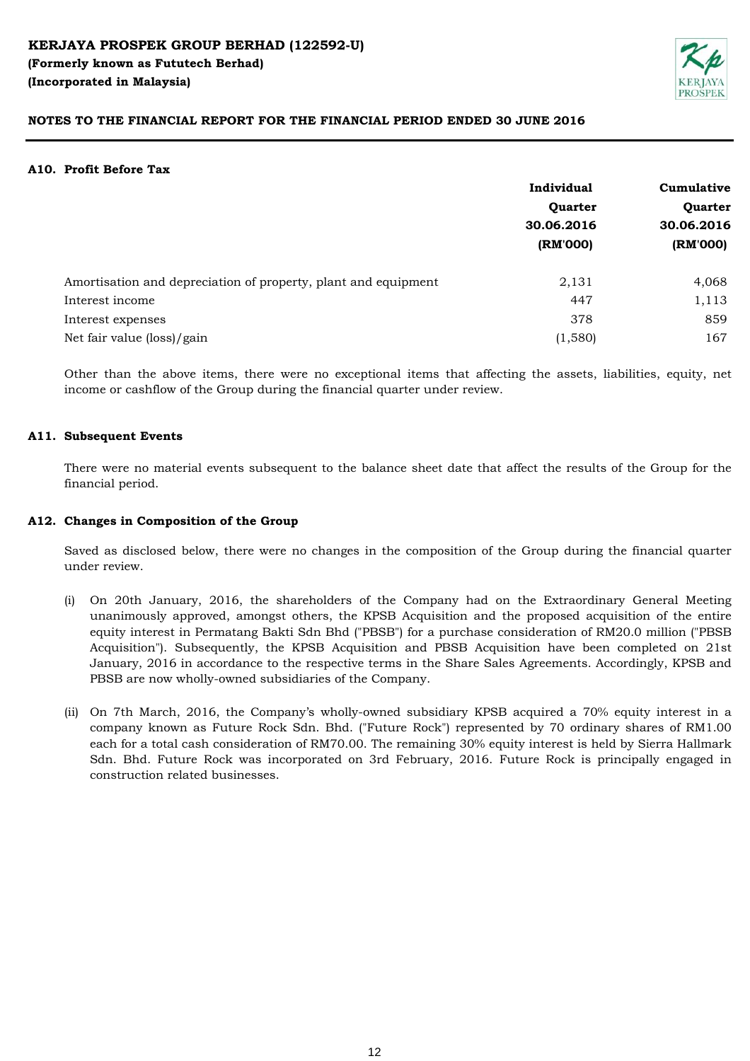

#### **A10. Profit Before Tax**

|                                                                | Individual             | Cumulative<br>Quarter<br>30.06.2016 |  |
|----------------------------------------------------------------|------------------------|-------------------------------------|--|
|                                                                | Quarter                |                                     |  |
|                                                                | 30.06.2016<br>(RM'000) |                                     |  |
|                                                                |                        | (RM'000)                            |  |
| Amortisation and depreciation of property, plant and equipment | 2,131                  | 4,068                               |  |
| Interest income                                                | 447                    | 1,113                               |  |
| Interest expenses                                              | 378                    | 859                                 |  |
| Net fair value (loss)/gain                                     | (1,580)                | 167                                 |  |

Other than the above items, there were no exceptional items that affecting the assets, liabilities, equity, net income or cashflow of the Group during the financial quarter under review.

### **A11. Subsequent Events**

There were no material events subsequent to the balance sheet date that affect the results of the Group for the financial period.

#### **A12. Changes in Composition of the Group**

Saved as disclosed below, there were no changes in the composition of the Group during the financial quarter under review.

- (i) On 20th January, 2016, the shareholders of the Company had on the Extraordinary General Meeting unanimously approved, amongst others, the KPSB Acquisition and the proposed acquisition of the entire equity interest in Permatang Bakti Sdn Bhd ("PBSB") for a purchase consideration of RM20.0 million ("PBSB Acquisition"). Subsequently, the KPSB Acquisition and PBSB Acquisition have been completed on 21st January, 2016 in accordance to the respective terms in the Share Sales Agreements. Accordingly, KPSB and PBSB are now wholly-owned subsidiaries of the Company.
- (ii) On 7th March, 2016, the Company's wholly-owned subsidiary KPSB acquired a 70% equity interest in a company known as Future Rock Sdn. Bhd. ("Future Rock") represented by 70 ordinary shares of RM1.00 each for a total cash consideration of RM70.00. The remaining 30% equity interest is held by Sierra Hallmark Sdn. Bhd. Future Rock was incorporated on 3rd February, 2016. Future Rock is principally engaged in construction related businesses.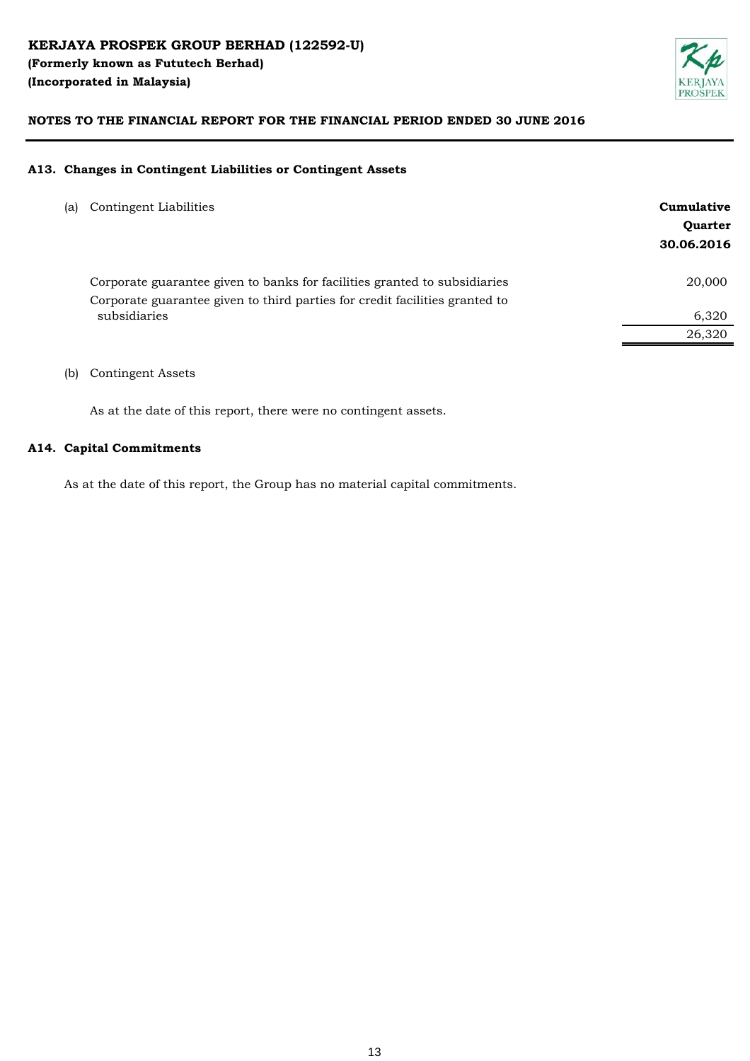

### **A13. Changes in Contingent Liabilities or Contingent Assets**

| (a) | Contingent Liabilities                                                                                                                                   | Cumulative<br>Quarter<br>30.06.2016 |
|-----|----------------------------------------------------------------------------------------------------------------------------------------------------------|-------------------------------------|
|     | Corporate guarantee given to banks for facilities granted to subsidiaries<br>Corporate guarantee given to third parties for credit facilities granted to | 20,000                              |
|     | subsidiaries                                                                                                                                             | 6,320                               |
|     |                                                                                                                                                          | 26,320                              |
|     |                                                                                                                                                          |                                     |

(b) Contingent Assets

As at the date of this report, there were no contingent assets.

## **A14. Capital Commitments**

As at the date of this report, the Group has no material capital commitments.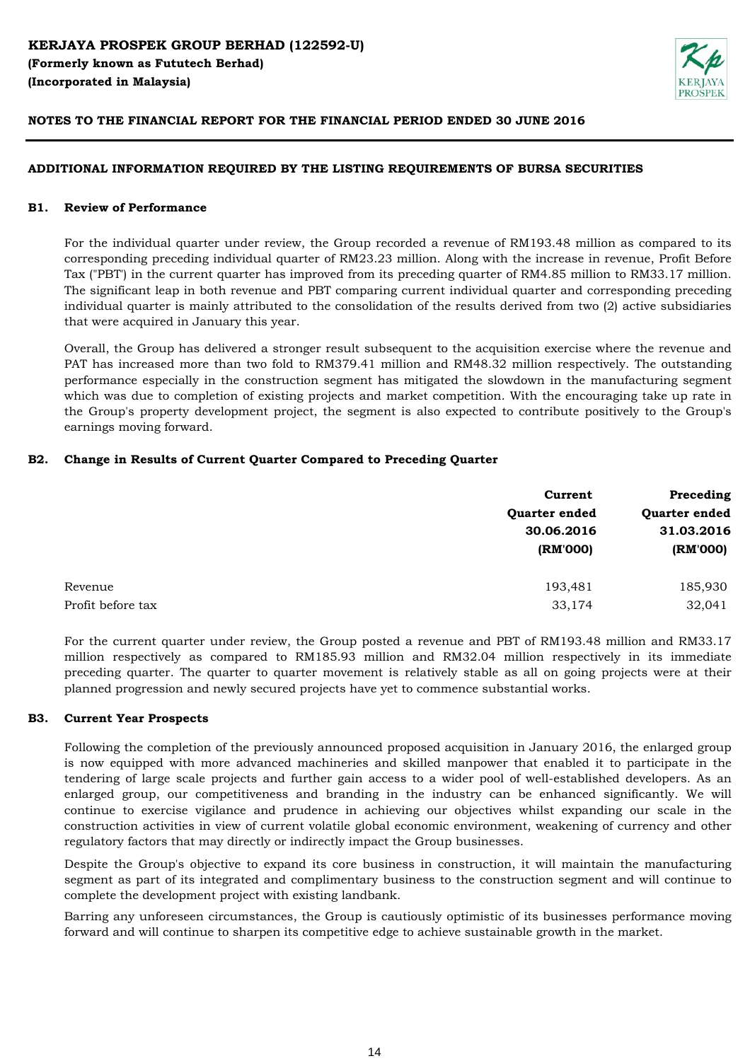

## **ADDITIONAL INFORMATION REQUIRED BY THE LISTING REQUIREMENTS OF BURSA SECURITIES**

#### **B1. Review of Performance**

For the individual quarter under review, the Group recorded a revenue of RM193.48 million as compared to its corresponding preceding individual quarter of RM23.23 million. Along with the increase in revenue, Profit Before Tax ("PBT') in the current quarter has improved from its preceding quarter of RM4.85 million to RM33.17 million. The significant leap in both revenue and PBT comparing current individual quarter and corresponding preceding individual quarter is mainly attributed to the consolidation of the results derived from two (2) active subsidiaries that were acquired in January this year.

Overall, the Group has delivered a stronger result subsequent to the acquisition exercise where the revenue and PAT has increased more than two fold to RM379.41 million and RM48.32 million respectively. The outstanding performance especially in the construction segment has mitigated the slowdown in the manufacturing segment which was due to completion of existing projects and market competition. With the encouraging take up rate in the Group's property development project, the segment is also expected to contribute positively to the Group's earnings moving forward.

## **B2. Change in Results of Current Quarter Compared to Preceding Quarter**

|                   | Current       | Preceding<br>Quarter ended<br>31.03.2016 |  |
|-------------------|---------------|------------------------------------------|--|
|                   | Quarter ended |                                          |  |
|                   | 30.06.2016    |                                          |  |
|                   | (RM'000)      | (RM'000)                                 |  |
| Revenue           | 193,481       | 185,930                                  |  |
| Profit before tax | 33,174        | 32,041                                   |  |

For the current quarter under review, the Group posted a revenue and PBT of RM193.48 million and RM33.17 million respectively as compared to RM185.93 million and RM32.04 million respectively in its immediate preceding quarter. The quarter to quarter movement is relatively stable as all on going projects were at their planned progression and newly secured projects have yet to commence substantial works.

#### **B3. Current Year Prospects**

Following the completion of the previously announced proposed acquisition in January 2016, the enlarged group is now equipped with more advanced machineries and skilled manpower that enabled it to participate in the tendering of large scale projects and further gain access to a wider pool of well-established developers. As an enlarged group, our competitiveness and branding in the industry can be enhanced significantly. We will continue to exercise vigilance and prudence in achieving our objectives whilst expanding our scale in the construction activities in view of current volatile global economic environment, weakening of currency and other regulatory factors that may directly or indirectly impact the Group businesses.

Despite the Group's objective to expand its core business in construction, it will maintain the manufacturing segment as part of its integrated and complimentary business to the construction segment and will continue to complete the development project with existing landbank.

Barring any unforeseen circumstances, the Group is cautiously optimistic of its businesses performance moving forward and will continue to sharpen its competitive edge to achieve sustainable growth in the market.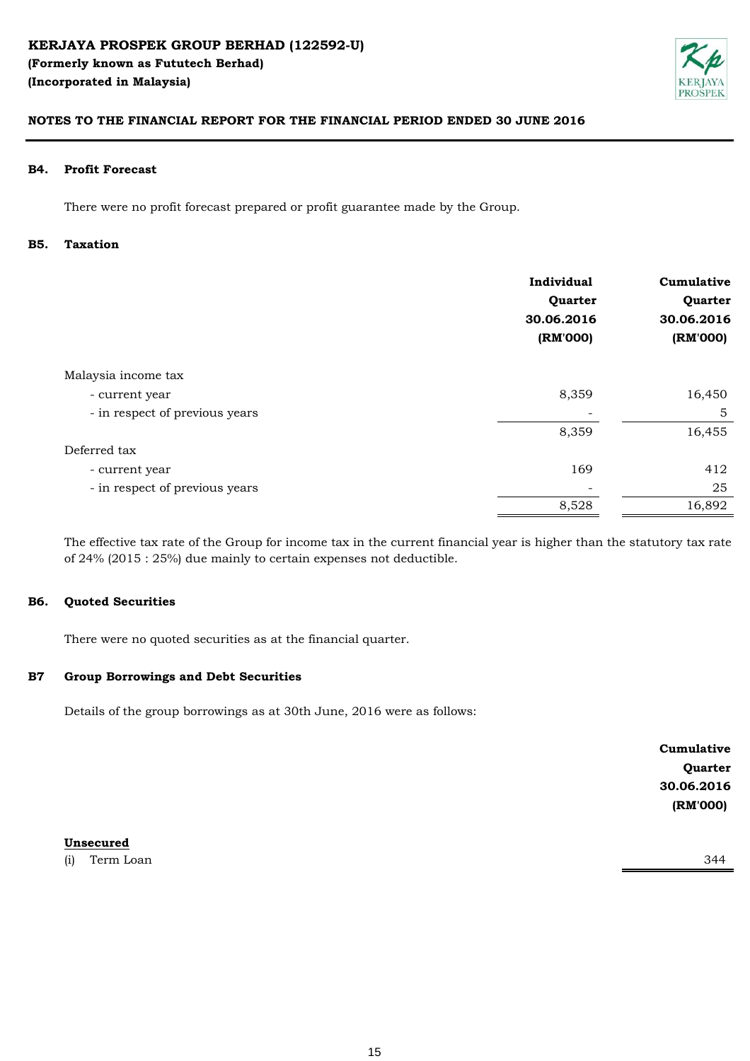

#### **B4. Profit Forecast**

There were no profit forecast prepared or profit guarantee made by the Group.

#### **B5. Taxation**

|                                | Individual<br>Quarter<br>30.06.2016<br>(RM'000) | Cumulative<br>Quarter<br>30.06.2016<br>(RM'000) |
|--------------------------------|-------------------------------------------------|-------------------------------------------------|
| Malaysia income tax            |                                                 |                                                 |
| - current year                 | 8,359                                           | 16,450                                          |
| - in respect of previous years |                                                 | 5                                               |
|                                | 8,359                                           | 16,455                                          |
| Deferred tax                   |                                                 |                                                 |
| - current year                 | 169                                             | 412                                             |
| - in respect of previous years |                                                 | 25                                              |
|                                | 8,528                                           | 16,892                                          |
|                                |                                                 |                                                 |

The effective tax rate of the Group for income tax in the current financial year is higher than the statutory tax rate of 24% (2015 : 25%) due mainly to certain expenses not deductible.

#### **B6. Quoted Securities**

There were no quoted securities as at the financial quarter.

#### **B7 Group Borrowings and Debt Securities**

Details of the group borrowings as at 30th June, 2016 were as follows:

**Cumulative Quarter 30.06.2016 (RM'000)**

**Unsecured**

(i) Term Loan 344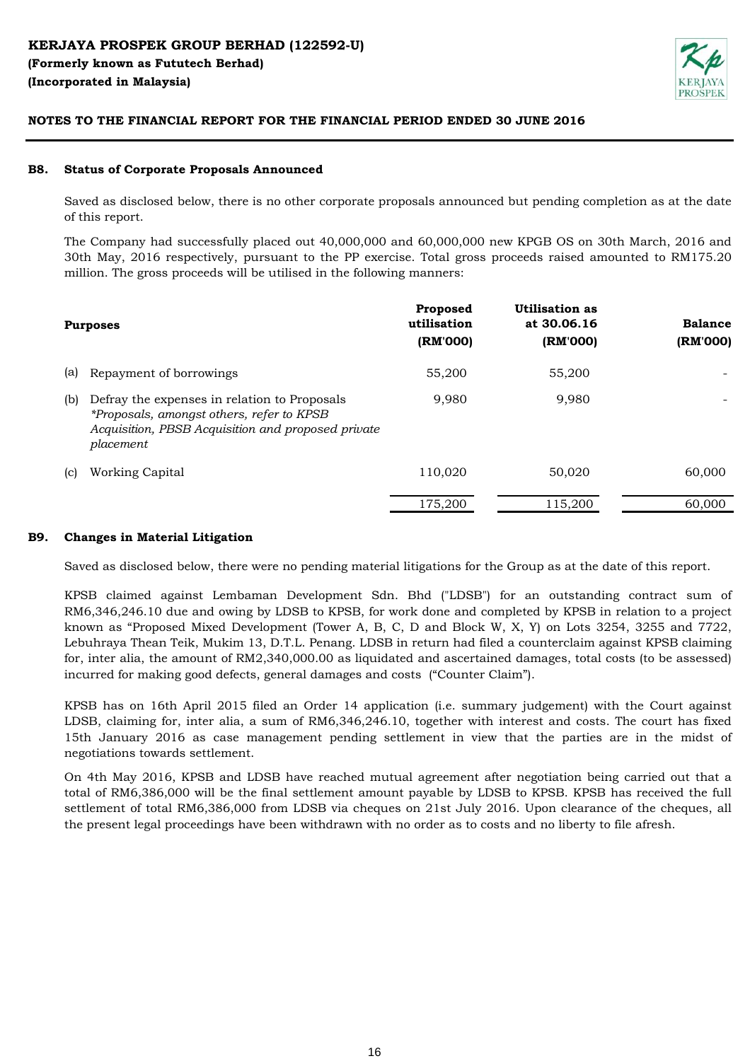

#### **B8. Status of Corporate Proposals Announced**

Saved as disclosed below, there is no other corporate proposals announced but pending completion as at the date of this report.

The Company had successfully placed out 40,000,000 and 60,000,000 new KPGB OS on 30th March, 2016 and 30th May, 2016 respectively, pursuant to the PP exercise. Total gross proceeds raised amounted to RM175.20 million. The gross proceeds will be utilised in the following manners:

|     | <b>Purposes</b>                                                                                                                                              | Proposed<br>utilisation<br>(RM'000) | Utilisation as<br>at 30.06.16<br>(RM'000) | <b>Balance</b><br>(RM'000) |
|-----|--------------------------------------------------------------------------------------------------------------------------------------------------------------|-------------------------------------|-------------------------------------------|----------------------------|
| (a) | Repayment of borrowings                                                                                                                                      | 55,200                              | 55,200                                    |                            |
| (b) | Defray the expenses in relation to Proposals<br>*Proposals, amongst others, refer to KPSB<br>Acquisition, PBSB Acquisition and proposed private<br>placement | 9,980                               | 9,980                                     |                            |
| (c) | Working Capital                                                                                                                                              | 110,020                             | 50,020                                    | 60,000                     |
|     |                                                                                                                                                              | 175,200                             | 115,200                                   | 60,000                     |

#### **B9. Changes in Material Litigation**

Saved as disclosed below, there were no pending material litigations for the Group as at the date of this report.

KPSB claimed against Lembaman Development Sdn. Bhd ("LDSB") for an outstanding contract sum of RM6,346,246.10 due and owing by LDSB to KPSB, for work done and completed by KPSB in relation to a project known as "Proposed Mixed Development (Tower A, B, C, D and Block W, X, Y) on Lots 3254, 3255 and 7722, Lebuhraya Thean Teik, Mukim 13, D.T.L. Penang. LDSB in return had filed a counterclaim against KPSB claiming for, inter alia, the amount of RM2,340,000.00 as liquidated and ascertained damages, total costs (to be assessed) incurred for making good defects, general damages and costs ("Counter Claim").

KPSB has on 16th April 2015 filed an Order 14 application (i.e. summary judgement) with the Court against LDSB, claiming for, inter alia, a sum of RM6,346,246.10, together with interest and costs. The court has fixed 15th January 2016 as case management pending settlement in view that the parties are in the midst of negotiations towards settlement.

On 4th May 2016, KPSB and LDSB have reached mutual agreement after negotiation being carried out that a total of RM6,386,000 will be the final settlement amount payable by LDSB to KPSB. KPSB has received the full settlement of total RM6,386,000 from LDSB via cheques on 21st July 2016. Upon clearance of the cheques, all the present legal proceedings have been withdrawn with no order as to costs and no liberty to file afresh.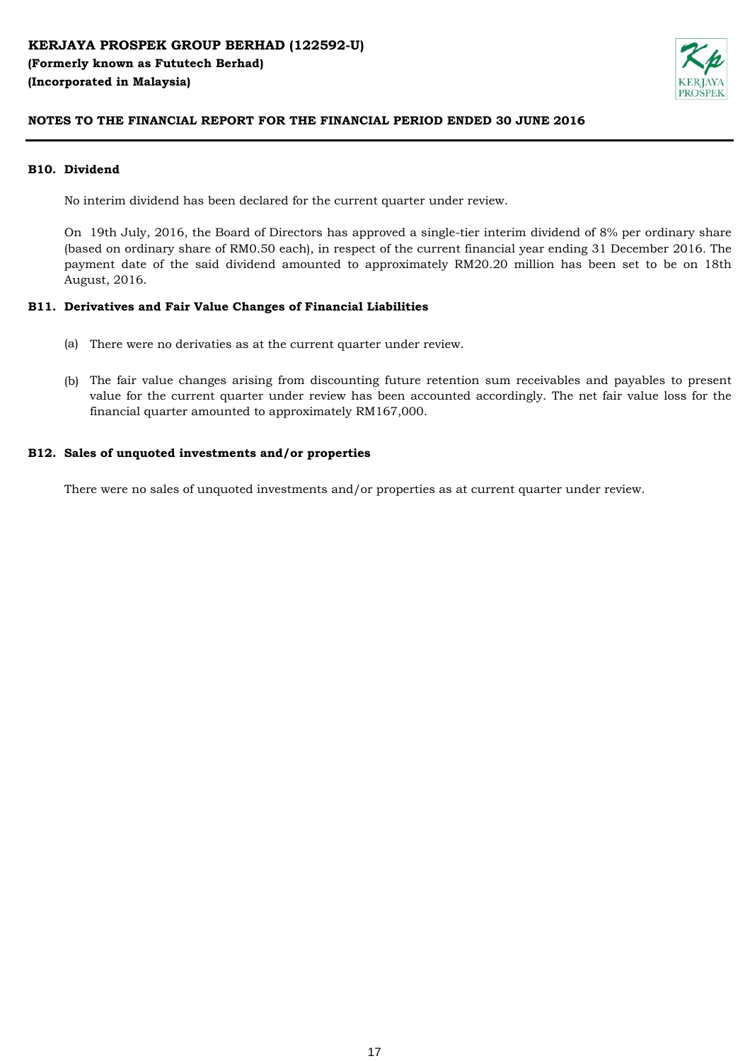

### **B10. Dividend**

No interim dividend has been declared for the current quarter under review.

On 19th July, 2016, the Board of Directors has approved a single-tier interim dividend of 8% per ordinary share (based on ordinary share of RM0.50 each), in respect of the current financial year ending 31 December 2016. The payment date of the said dividend amounted to approximately RM20.20 million has been set to be on 18th August, 2016.

### **B11. Derivatives and Fair Value Changes of Financial Liabilities**

- (a) There were no derivaties as at the current quarter under review.
- (b) The fair value changes arising from discounting future retention sum receivables and payables to present value for the current quarter under review has been accounted accordingly. The net fair value loss for the financial quarter amounted to approximately RM167,000.

#### **B12. Sales of unquoted investments and/or properties**

There were no sales of unquoted investments and/or properties as at current quarter under review.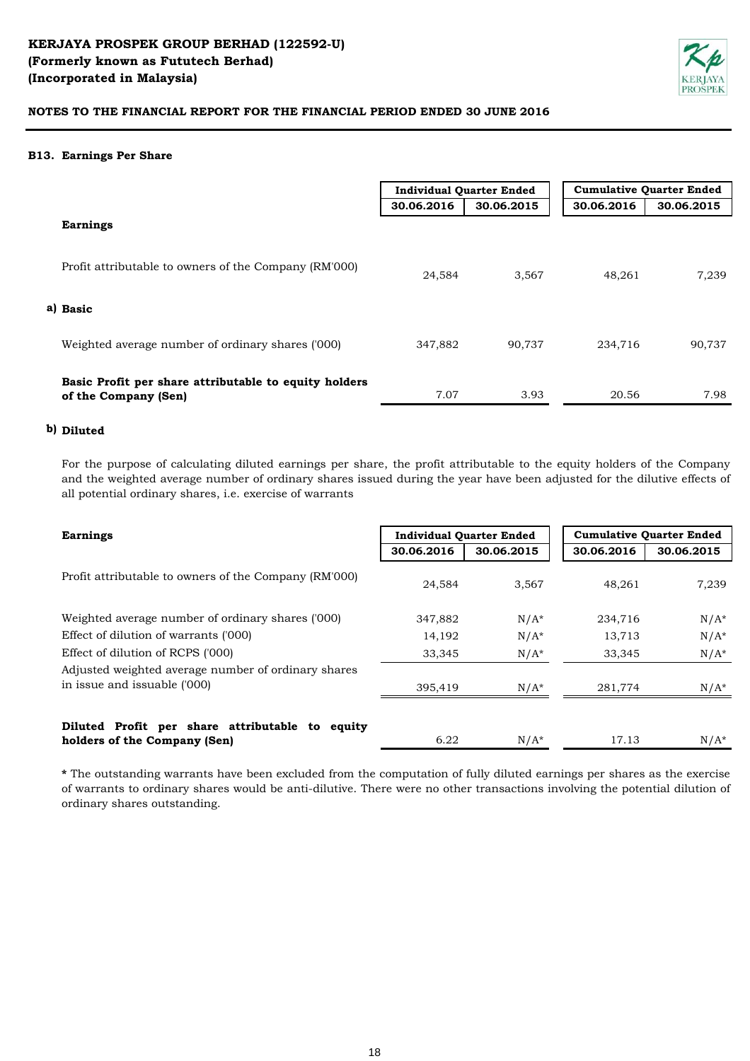

### **B13. Earnings Per Share**

|                                                                               | <b>Individual Quarter Ended</b> |            | <b>Cumulative Quarter Ended</b> |            |
|-------------------------------------------------------------------------------|---------------------------------|------------|---------------------------------|------------|
|                                                                               | 30.06.2016                      | 30.06.2015 | 30.06.2016                      | 30.06.2015 |
| <b>Earnings</b>                                                               |                                 |            |                                 |            |
| Profit attributable to owners of the Company (RM'000)                         | 24,584                          | 3,567      | 48,261                          | 7.239      |
| a) Basic                                                                      |                                 |            |                                 |            |
| Weighted average number of ordinary shares ('000)                             | 347,882                         | 90,737     | 234,716                         | 90,737     |
| Basic Profit per share attributable to equity holders<br>of the Company (Sen) | 7.07                            | 3.93       | 20.56                           | 7.98       |

# **b) Diluted**

For the purpose of calculating diluted earnings per share, the profit attributable to the equity holders of the Company and the weighted average number of ordinary shares issued during the year have been adjusted for the dilutive effects of all potential ordinary shares, i.e. exercise of warrants

| <b>Earnings</b>                                                                     | <b>Individual Quarter Ended</b> |            | <b>Cumulative Quarter Ended</b> |            |
|-------------------------------------------------------------------------------------|---------------------------------|------------|---------------------------------|------------|
|                                                                                     | 30.06.2016                      | 30.06.2015 | 30.06.2016                      | 30.06.2015 |
| Profit attributable to owners of the Company (RM'000)                               | 24,584                          | 3,567      | 48,261                          | 7,239      |
| Weighted average number of ordinary shares ('000)                                   | 347,882                         | $N/A^*$    | 234,716                         | $N/A^*$    |
| Effect of dilution of warrants ('000)                                               | 14,192                          | $N/A^*$    | 13,713                          | $N/A^*$    |
| Effect of dilution of RCPS ('000)                                                   | 33,345                          | $N/A^*$    | 33,345                          | $N/A^*$    |
| Adjusted weighted average number of ordinary shares<br>in issue and issuable ('000) | 395,419                         | $N/A^*$    | 281,774                         | $N/A^*$    |
| Diluted Profit per share attributable to equity<br>holders of the Company (Sen)     | 6.22                            | $N/A^*$    | 17.13                           | $N/A^*$    |

**\*** The outstanding warrants have been excluded from the computation of fully diluted earnings per shares as the exercise of warrants to ordinary shares would be anti-dilutive. There were no other transactions involving the potential dilution of ordinary shares outstanding.